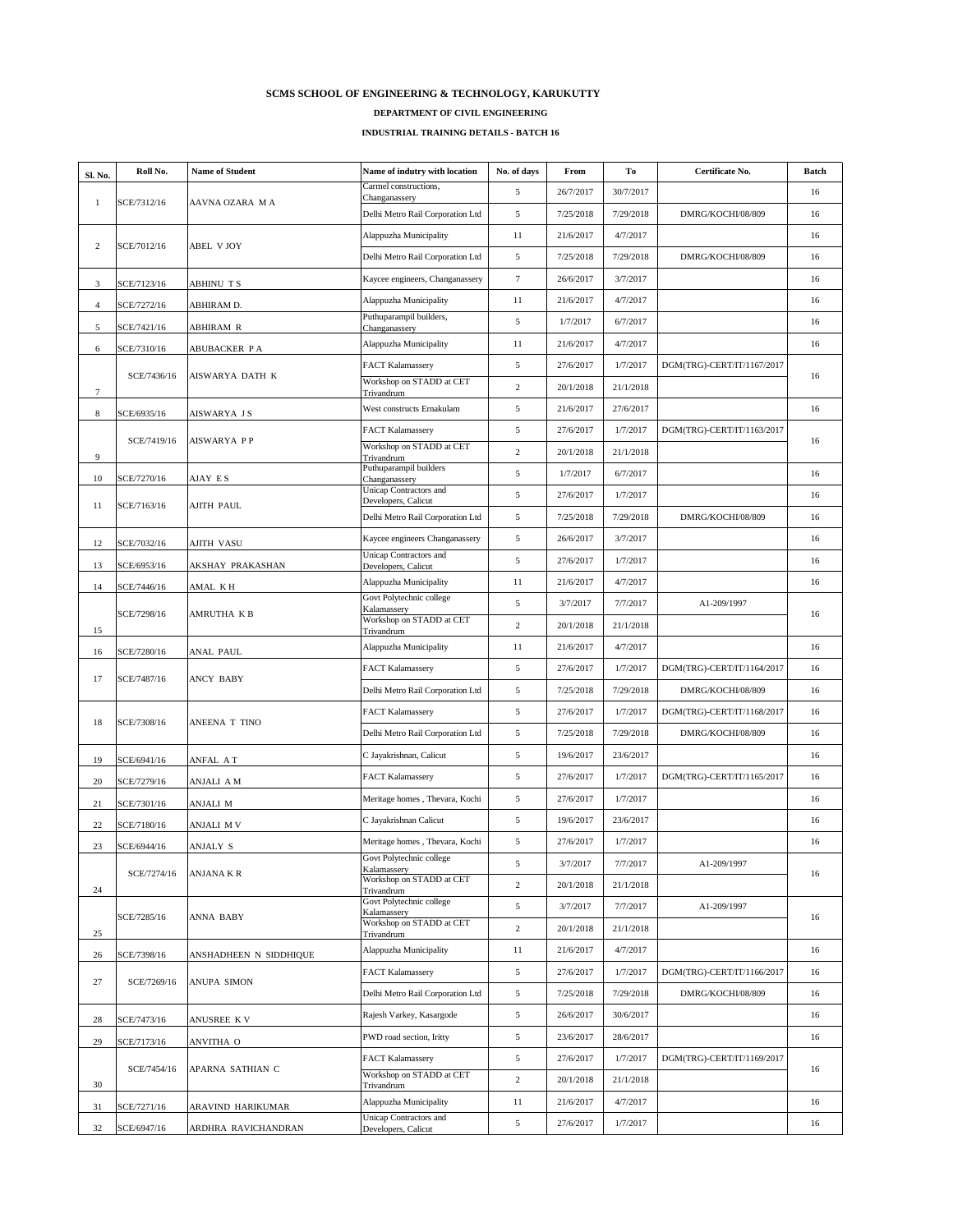| Sl. No.        | Roll No.    | <b>Name of Student</b>     | Name of indutry with location                        | No. of days     | From      | <b>To</b> | <b>Certificate No.</b>     | <b>Batch</b> |
|----------------|-------------|----------------------------|------------------------------------------------------|-----------------|-----------|-----------|----------------------------|--------------|
|                |             |                            | Carmel constructions,<br>Changanassery               | 5 <sup>5</sup>  | 26/7/2017 | 30/7/2017 |                            | 16           |
|                | SCE/7312/16 | AAVNA OZARA MA             | Delhi Metro Rail Corporation Ltd                     | $5\overline{)}$ | 7/25/2018 | 7/29/2018 | DMRG/KOCHI/08/809          | 16           |
|                |             |                            | Alappuzha Municipality                               | 11              | 21/6/2017 | 4/7/2017  |                            | 16           |
| 2              | SCE/7012/16 | <b>ABEL V JOY</b>          | Delhi Metro Rail Corporation Ltd                     | $5\overline{)}$ | 7/25/2018 | 7/29/2018 | DMRG/KOCHI/08/809          | 16           |
| 3              | SCE/7123/16 | <b>ABHINU TS</b>           | Kaycee engineers, Changanassery                      | $\tau$          | 26/6/2017 | 3/7/2017  |                            | 16           |
| $\overline{4}$ | SCE/7272/16 | ABHIRAM D.                 | Alappuzha Municipality                               | 11              | 21/6/2017 | 4/7/2017  |                            | 16           |
| 5              | SCE/7421/16 | <b>ABHIRAM R</b>           | Puthuparampil builders,<br>Changanassery             | $5\overline{)}$ | 1/7/2017  | 6/7/2017  |                            | 16           |
| 6              | SCE/7310/16 | <b>ABUBACKER PA</b>        | Alappuzha Municipality                               | 11              | 21/6/2017 | 4/7/2017  |                            | 16           |
|                |             |                            | <b>FACT Kalamassery</b>                              | $\mathfrak{S}$  | 27/6/2017 | 1/7/2017  | DGM(TRG)-CERT/IT/1167/2017 |              |
|                | SCE/7436/16 | <b>AISWARYA DATH K</b>     | Workshop on STADD at CET<br>Trivandrum               | 2               | 20/1/2018 | 21/1/2018 |                            | 16           |
| 8              | SCE/6935/16 | AISWARYA JS                | West constructs Ernakulam                            | $5\overline{)}$ | 21/6/2017 | 27/6/2017 |                            | 16           |
|                |             |                            | <b>FACT Kalamassery</b>                              | 5               | 27/6/2017 | 1/7/2017  | DGM(TRG)-CERT/IT/1163/2017 |              |
| 9              | SCE/7419/16 | <b>AISWARYA PP</b>         | Workshop on STADD at CET<br>Trivandrum               | 2               | 20/1/2018 | 21/1/2018 |                            | 16           |
| 10             | SCE/7270/16 | AJAY ES                    | Puthuparampil builders<br>Changanassery              | 5               | 1/7/2017  | 6/7/2017  |                            | 16           |
|                |             |                            | <b>Unicap Contractors and</b><br>Developers, Calicut | 5 <sup>5</sup>  | 27/6/2017 | 1/7/2017  |                            | 16           |
|                | SCE/7163/16 | <b>AJITH PAUL</b>          | Delhi Metro Rail Corporation Ltd                     | 5 <sup>5</sup>  | 7/25/2018 | 7/29/2018 | DMRG/KOCHI/08/809          | 16           |
| 12             | SCE/7032/16 | <b>AJITH VASU</b>          | Kaycee engineers Changanassery                       | 5 <sup>5</sup>  | 26/6/2017 | 3/7/2017  |                            | 16           |
| 13             | SCE/6953/16 | <b>AKSHAY PRAKASHAN</b>    | <b>Unicap Contractors and</b><br>Developers, Calicut | $5\overline{)}$ | 27/6/2017 | 1/7/2017  |                            | 16           |
| 14             | SCE/7446/16 | <b>AMAL KH</b>             | Alappuzha Municipality                               | 11              | 21/6/2017 | 4/7/2017  |                            | 16           |
|                |             |                            | Govt Polytechnic college                             | 5               | 3/7/2017  | 7/7/2017  | A1-209/1997                | 16           |
|                | SCE/7298/16 | <b>AMRUTHA KB</b>          | Kalamassery<br>Workshop on STADD at CET              | 2               | 20/1/2018 | 21/1/2018 |                            |              |
| 15             | SCE/7280/16 |                            | Trivandrum<br>Alappuzha Municipality                 | 11              | 21/6/2017 | 4/7/2017  |                            | 16           |
| 16             |             | <b>ANAL PAUL</b>           | <b>FACT Kalamassery</b>                              | 5 <sup>5</sup>  | 27/6/2017 | 1/7/2017  | DGM(TRG)-CERT/IT/1164/2017 | 16           |
| 17             | SCE/7487/16 | <b>ANCY BABY</b>           | Delhi Metro Rail Corporation Ltd                     | 5 <sup>5</sup>  | 7/25/2018 | 7/29/2018 | DMRG/KOCHI/08/809          | 16           |
|                |             | <b>ANEENA T TINO</b>       | <b>FACT Kalamassery</b>                              | $5\overline{)}$ | 27/6/2017 | 1/7/2017  | DGM(TRG)-CERT/IT/1168/2017 | 16           |
| 18             | SCE/7308/16 |                            | Delhi Metro Rail Corporation Ltd                     | 5 <sup>5</sup>  | 7/25/2018 | 7/29/2018 | DMRG/KOCHI/08/809          | 16           |
|                |             |                            | C Jayakrishnan, Calicut                              | $5\overline{)}$ | 19/6/2017 | 23/6/2017 |                            | 16           |
| 19             | SCE/6941/16 | <b>ANFAL AT</b>            | <b>FACT Kalamassery</b>                              | 5 <sup>5</sup>  | 27/6/2017 | 1/7/2017  | DGM(TRG)-CERT/IT/1165/2017 | 16           |
| 20             | SCE/7279/16 | <b>ANJALI AM</b>           | Meritage homes, Thevara, Kochi                       | 5 <sup>5</sup>  | 27/6/2017 | 1/7/2017  |                            | 16           |
| 21             | SCE/7301/16 | <b>ANJALI M</b>            | C Jayakrishnan Calicut                               | 5               | 19/6/2017 | 23/6/2017 |                            | 16           |
| 22             | SCE/7180/16 | <b>ANJALI MV</b>           | Meritage homes, Thevara, Kochi                       | 5 <sup>5</sup>  | 27/6/2017 | 1/7/2017  |                            | 16           |
| 23             | SCE/6944/16 | <b>ANJALY S</b>            | Govt Polytechnic college                             | 5 <sup>5</sup>  | 3/7/2017  | 7/7/2017  | A1-209/1997                |              |
|                | SCE/7274/16 | <b>ANJANA K R</b>          | Kalamassery<br>Workshop on STADD at CET              | $\overline{2}$  | 20/1/2018 | 21/1/2018 |                            | 16           |
| 24             |             | <b>ANNA BABY</b>           | Trivandrum<br>Govt Polytechnic college               | 5 <sup>5</sup>  | 3/7/2017  | 7/7/2017  | A1-209/1997                | 16           |
|                | SCE/7285/16 |                            | Kalamassery<br>Workshop on STADD at CET              | 2               | 20/1/2018 | 21/1/2018 |                            |              |
| 25             |             |                            | Trivandrum<br>Alappuzha Municipality                 | 11              | 21/6/2017 | 4/7/2017  |                            | 16           |
| 26             | SCE/7398/16 | ANSHADHEEN N SIDDHIQUE     | <b>FACT Kalamassery</b>                              | 5 <sup>5</sup>  | 27/6/2017 | 1/7/2017  | DGM(TRG)-CERT/IT/1166/2017 | 16           |
| 27             | SCE/7269/16 | <b>ANUPA SIMON</b>         | Delhi Metro Rail Corporation Ltd                     | $5\overline{)}$ | 7/25/2018 | 7/29/2018 | DMRG/KOCHI/08/809          | 16           |
|                |             |                            | Rajesh Varkey, Kasargode                             | $5\overline{)}$ | 26/6/2017 | 30/6/2017 |                            | 16           |
| 28             | SCE/7473/16 | ANUSREE KV                 | PWD road section, Iritty                             | 5 <sup>5</sup>  | 23/6/2017 | 28/6/2017 |                            | 16           |
| 29             | SCE/7173/16 | <b>ANVITHA O</b>           | <b>FACT Kalamassery</b>                              | $5\overline{)}$ | 27/6/2017 | 1/7/2017  | DGM(TRG)-CERT/IT/1169/2017 |              |
|                | SCE/7454/16 | APARNA SATHIAN C           | Workshop on STADD at CET                             | 2               | 20/1/2018 | 21/1/2018 |                            | 16           |
| 30             |             |                            | Trivandrum<br>Alappuzha Municipality                 | 11              | 21/6/2017 | 4/7/2017  |                            | 16           |
| 31             | SCE/7271/16 | <b>ARAVIND HARIKUMAR</b>   | <b>Unicap Contractors and</b>                        | $5\overline{)}$ | 27/6/2017 | 1/7/2017  |                            | 16           |
| 32             | SCE/6947/16 | <b>ARDHRA RAVICHANDRAN</b> | Developers, Calicut                                  |                 |           |           |                            |              |

## **SCMS SCHOOL OF ENGINEERING & TECHNOLOGY, KARUKUTTY**

## **DEPARTMENT OF CIVIL ENGINEERING**

## **INDUSTRIAL TRAINING DETAILS - BATCH 16**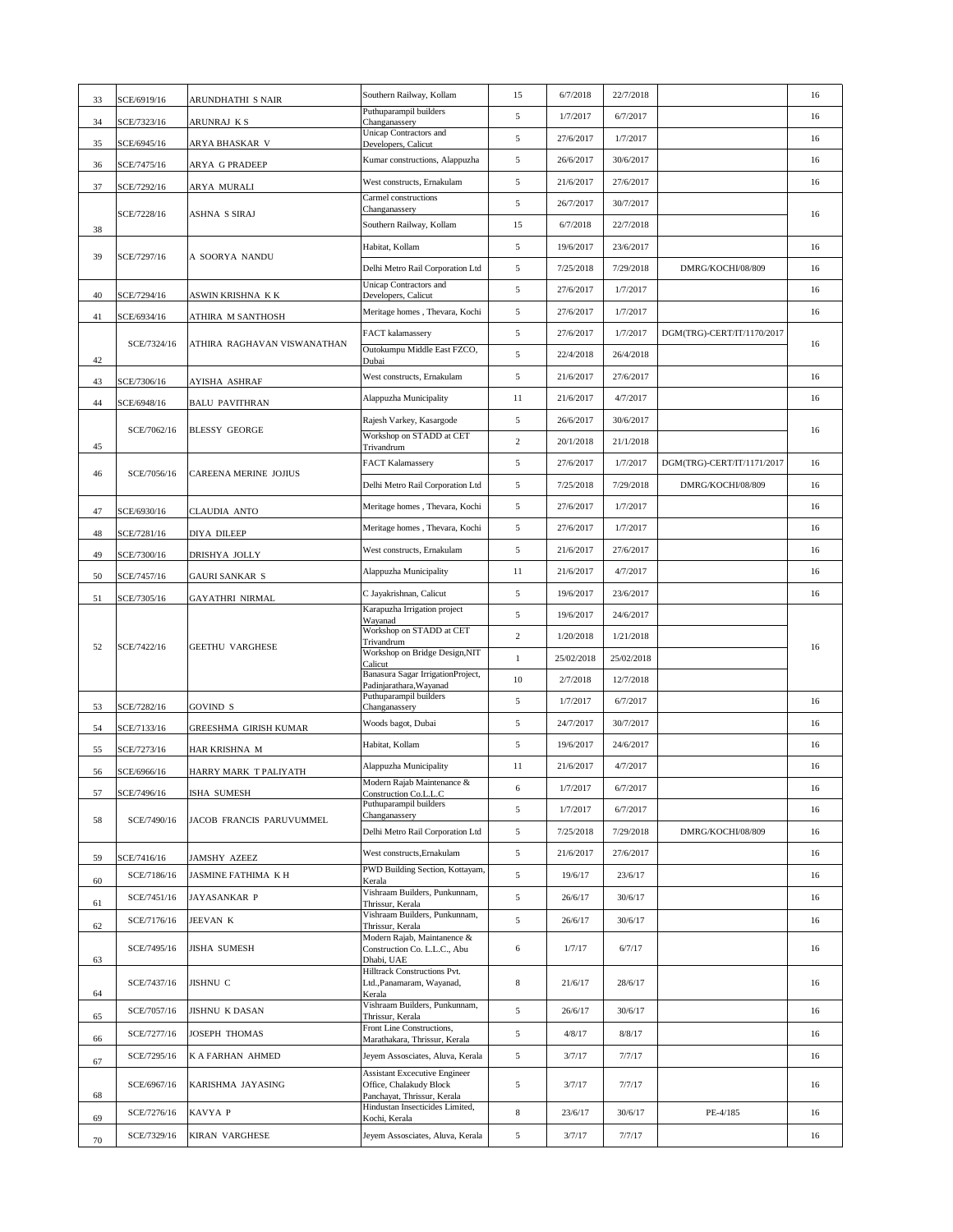|    |             |                              | Southern Railway, Kollam                                               | 15              | 6/7/2018   | 22/7/2018  |                            | 16 |
|----|-------------|------------------------------|------------------------------------------------------------------------|-----------------|------------|------------|----------------------------|----|
| 33 | SCE/6919/16 | <b>ARUNDHATHI S NAIR</b>     | Puthuparampil builders                                                 | 5               | 1/7/2017   | 6/7/2017   |                            | 16 |
| 34 | SCE/7323/16 | <b>ARUNRAJ KS</b>            | Changanassery<br><b>Unicap Contractors and</b>                         | 5 <sup>5</sup>  | 27/6/2017  | 1/7/2017   |                            | 16 |
| 35 | SCE/6945/16 | ARYA BHASKAR V               | Developers, Calicut                                                    |                 | 26/6/2017  | 30/6/2017  |                            | 16 |
| 36 | SCE/7475/16 | <b>ARYA G PRADEEP</b>        | Kumar constructions, Alappuzha                                         | 5               |            |            |                            |    |
| 37 | SCE/7292/16 | <b>ARYA MURALI</b>           | West constructs, Ernakulam<br><b>Carmel constructions</b>              | $5\overline{)}$ | 21/6/2017  | 27/6/2017  |                            | 16 |
|    | SCE/7228/16 | <b>ASHNA S SIRAJ</b>         | Changanassery                                                          | $5\overline{)}$ | 26/7/2017  | 30/7/2017  |                            | 16 |
| 38 |             |                              | Southern Railway, Kollam                                               | 15              | 6/7/2018   | 22/7/2018  |                            |    |
| 39 | SCE/7297/16 | A SOORYA NANDU               | Habitat, Kollam                                                        | 5               | 19/6/2017  | 23/6/2017  |                            | 16 |
|    |             |                              | Delhi Metro Rail Corporation Ltd<br><b>Unicap Contractors and</b>      | $5\overline{)}$ | 7/25/2018  | 7/29/2018  | DMRG/KOCHI/08/809          | 16 |
| 40 | SCE/7294/16 | ASWIN KRISHNA KK             | Developers, Calicut                                                    | 5               | 27/6/2017  | 1/7/2017   |                            | 16 |
| 41 | SCE/6934/16 | <b>ATHIRA M SANTHOSH</b>     | Meritage homes, Thevara, Kochi                                         | $5\overline{)}$ | 27/6/2017  | 1/7/2017   |                            | 16 |
|    | SCE/7324/16 | ATHIRA RAGHAVAN VISWANATHAN  | <b>FACT</b> kalamassery                                                | $5\overline{)}$ | 27/6/2017  | 1/7/2017   | DGM(TRG)-CERT/IT/1170/2017 | 16 |
| 42 |             |                              | Outokumpu Middle East FZCO,<br>Dubai                                   | $5\overline{)}$ | 22/4/2018  | 26/4/2018  |                            |    |
| 43 | SCE/7306/16 | <b>AYISHA ASHRAF</b>         | West constructs, Ernakulam                                             | 5               | 21/6/2017  | 27/6/2017  |                            | 16 |
| 44 | SCE/6948/16 | <b>BALU PAVITHRAN</b>        | Alappuzha Municipality                                                 | 11              | 21/6/2017  | 4/7/2017   |                            | 16 |
|    | SCE/7062/16 | <b>BLESSY GEORGE</b>         | Rajesh Varkey, Kasargode                                               | 5               | 26/6/2017  | 30/6/2017  |                            | 16 |
| 45 |             |                              | Workshop on STADD at CET<br>Trivandrum                                 | $\overline{2}$  | 20/1/2018  | 21/1/2018  |                            |    |
|    |             |                              | <b>FACT Kalamassery</b>                                                | 5               | 27/6/2017  | 1/7/2017   | DGM(TRG)-CERT/IT/1171/2017 | 16 |
| 46 | SCE/7056/16 | <b>CAREENA MERINE JOJIUS</b> | Delhi Metro Rail Corporation Ltd                                       | 5               | 7/25/2018  | 7/29/2018  | DMRG/KOCHI/08/809          | 16 |
| 47 | SCE/6930/16 | <b>CLAUDIA ANTO</b>          | Meritage homes, Thevara, Kochi                                         | 5 <sup>5</sup>  | 27/6/2017  | 1/7/2017   |                            | 16 |
|    |             |                              | Meritage homes, Thevara, Kochi                                         | $5\overline{)}$ | 27/6/2017  | 1/7/2017   |                            | 16 |
| 48 | SCE/7281/16 | <b>DIYA DILEEP</b>           | West constructs, Ernakulam                                             | 5               | 21/6/2017  | 27/6/2017  |                            | 16 |
| 49 | SCE/7300/16 | DRISHYA JOLLY                | Alappuzha Municipality                                                 | 11              | 21/6/2017  | 4/7/2017   |                            | 16 |
| 50 | SCE/7457/16 | <b>GAURI SANKAR S</b>        | C Jayakrishnan, Calicut                                                | 5               | 19/6/2017  | 23/6/2017  |                            | 16 |
| 51 | SCE/7305/16 | <b>GAYATHRI NIRMAL</b>       | Karapuzha Irrigation project                                           |                 |            |            |                            |    |
|    | SCE/7422/16 | <b>GEETHU VARGHESE</b>       | Wayanad<br>Workshop on STADD at CET                                    | 5               | 19/6/2017  | 24/6/2017  |                            |    |
| 52 |             |                              | Trivandrum<br>Workshop on Bridge Design, NIT                           | $\overline{2}$  | 1/20/2018  | 1/21/2018  |                            | 16 |
|    |             |                              | Calicut<br>Banasura Sagar IrrigationProject,                           |                 | 25/02/2018 | 25/02/2018 |                            |    |
|    |             |                              | Padinjarathara, Wayanad                                                | 10              | 2/7/2018   | 12/7/2018  |                            |    |
| 53 | SCE/7282/16 | <b>GOVIND S</b>              | Puthuparampil builders<br>Changanassery                                | 5               | 1/7/2017   | 6/7/2017   |                            | 16 |
| 54 | SCE/7133/16 | <b>GREESHMA GIRISH KUMAR</b> | Woods bagot, Dubai                                                     | 5               | 24/7/2017  | 30/7/2017  |                            | 16 |
| 55 | SCE/7273/16 | HAR KRISHNA M                | Habitat, Kollam                                                        | 5               | 19/6/2017  | 24/6/2017  |                            | 16 |
| 56 | SCE/6966/16 | HARRY MARK T PALIYATH        | Alappuzha Municipality                                                 | 11              | 21/6/2017  | 4/7/2017   |                            | 16 |
| 57 | SCE/7496/16 | ISHA SUMESH                  | Modern Rajab Maintenance &<br>Construction Co.L.L.C                    | 6               | 1/7/2017   | 6/7/2017   |                            | 16 |
|    |             |                              | Puthuparampil builders<br>Changanassery                                | $5\overline{)}$ | 1/7/2017   | 6/7/2017   |                            | 16 |
| 58 | SCE/7490/16 | JACOB FRANCIS PARUVUMMEL     | Delhi Metro Rail Corporation Ltd                                       | 5               | 7/25/2018  | 7/29/2018  | DMRG/KOCHI/08/809          | 16 |
| 59 | SCE/7416/16 | <b>JAMSHY AZEEZ</b>          | West constructs, Ernakulam                                             | $5\overline{)}$ | 21/6/2017  | 27/6/2017  |                            | 16 |
| 60 | SCE/7186/16 | <b>JASMINE FATHIMA K H</b>   | PWD Building Section, Kottayam,<br>Kerala                              | 5               | 19/6/17    | 23/6/17    |                            | 16 |
|    | SCE/7451/16 | <b>JAYASANKAR P</b>          | Vishraam Builders, Punkunnam,                                          | 5               | 26/6/17    | 30/6/17    |                            | 16 |
| 61 | SCE/7176/16 | <b>JEEVAN K</b>              | Thrissur, Kerala<br>Vishraam Builders, Punkunnam,                      | 5               | 26/6/17    | 30/6/17    |                            | 16 |
| 62 |             |                              | Thrissur, Kerala<br>Modern Rajab, Maintanence $\overline{\mathscr{X}}$ |                 |            |            |                            |    |
| 63 | SCE/7495/16 | <b>JISHA SUMESH</b>          | Construction Co. L.L.C., Abu<br>Dhabi, UAE                             | 6               | 1/7/17     | 6/7/17     |                            | 16 |
|    | SCE/7437/16 | <b>JISHNU C</b>              | <b>Hilltrack Constructions Pvt.</b><br>Ltd., Panamaram, Wayanad,       | 8               | 21/6/17    | 28/6/17    |                            | 16 |
| 64 |             |                              | Kerala<br>Vishraam Builders, Punkunnam,                                |                 |            |            |                            |    |
| 65 | SCE/7057/16 | <b>JISHNU K DASAN</b>        | Thrissur, Kerala                                                       | $5\overline{)}$ | 26/6/17    | 30/6/17    |                            | 16 |
| 66 | SCE/7277/16 | <b>JOSEPH THOMAS</b>         | Front Line Constructions,<br>Marathakara, Thrissur, Kerala             | 5               | 4/8/17     | 8/8/17     |                            | 16 |
| 67 | SCE/7295/16 | <b>KA FARHAN AHMED</b>       | Jeyem Assosciates, Aluva, Kerala                                       | 5 <sup>5</sup>  | 3/7/17     | 7/7/17     |                            | 16 |
|    | SCE/6967/16 | KARISHMA JAYASING            | <b>Assistant Excecutive Engineer</b><br>Office, Chalakudy Block        | 5               | 3/7/17     | 7/7/17     |                            | 16 |
| 68 |             |                              | Panchayat, Thrissur, Kerala<br>Hindustan Insecticides Limited,         |                 |            |            |                            |    |
| 69 | SCE/7276/16 | KAVYA P                      | Kochi, Kerala                                                          | 8               | 23/6/17    | 30/6/17    | PE-4/185                   | 16 |
| 70 | SCE/7329/16 | <b>KIRAN VARGHESE</b>        | Jeyem Assosciates, Aluva, Kerala                                       | 5 <sup>5</sup>  | 3/7/17     | 7/7/17     |                            | 16 |